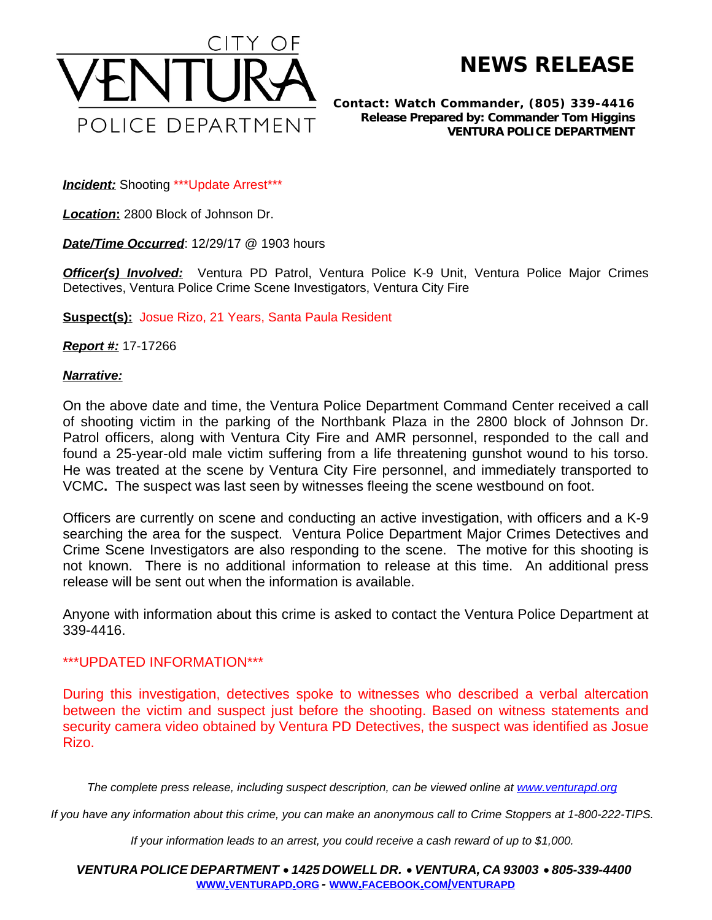

**NEWS RELEASE**

*Contact: Watch Commander, (805) 339-4416 Release Prepared by: Commander Tom Higgins* **VENTURA POLICE DEPARTMENT**

**Incident:** Shooting \*\*\* Update Arrest\*\*\*

*Location***:** 2800 Block of Johnson Dr.

*Date/Time Occurred*: 12/29/17 @ 1903 hours

*Officer(s) Involved:* Ventura PD Patrol, Ventura Police K-9 Unit, Ventura Police Major Crimes Detectives, Ventura Police Crime Scene Investigators, Ventura City Fire

**Suspect(s):** Josue Rizo, 21 Years, Santa Paula Resident

*Report #:* 17-17266

## *Narrative:*

On the above date and time, the Ventura Police Department Command Center received a call of shooting victim in the parking of the Northbank Plaza in the 2800 block of Johnson Dr. Patrol officers, along with Ventura City Fire and AMR personnel, responded to the call and found a 25-year-old male victim suffering from a life threatening gunshot wound to his torso. He was treated at the scene by Ventura City Fire personnel, and immediately transported to VCMC**.** The suspect was last seen by witnesses fleeing the scene westbound on foot.

Officers are currently on scene and conducting an active investigation, with officers and a K-9 searching the area for the suspect. Ventura Police Department Major Crimes Detectives and Crime Scene Investigators are also responding to the scene. The motive for this shooting is not known. There is no additional information to release at this time. An additional press release will be sent out when the information is available.

Anyone with information about this crime is asked to contact the Ventura Police Department at 339-4416.

## \*\*\*UPDATED INFORMATION\*\*\*

During this investigation, detectives spoke to witnesses who described a verbal altercation between the victim and suspect just before the shooting. Based on witness statements and security camera video obtained by Ventura PD Detectives, the suspect was identified as Josue Rizo.

The complete press release, including suspect description, can be viewed online at [www.venturapd.org](http://www.venturapd.org)

*If you have any information about this crime, you can make an anonymous call to Crime Stoppers at 1-800-222-TIPS.*

*If your information leads to an arrest, you could receive a cash reward of up to \$1,000.*

*VENTURA POLICE DEPARTMENT* · *1425 DOWELL DR.* · *VENTURA, CA 93003* · *805-339-4400* **WWW.[VENTURAPD](http://www.venturapd.org).ORG** *-* **WWW.FACEBOOK.COM/[VENTURAPD](http://www.facebook.com/venturapd)**